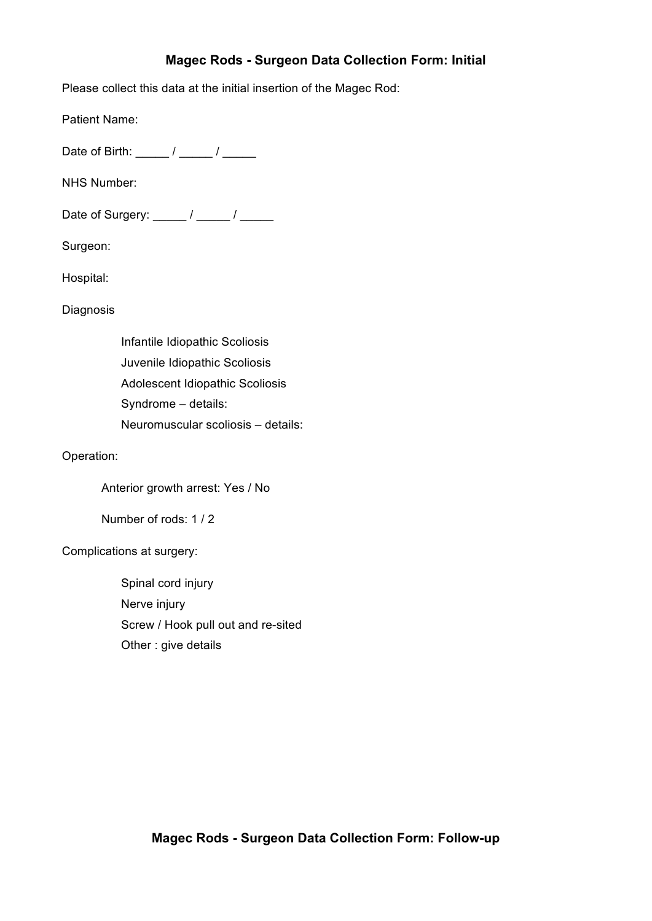# **Magec Rods - Surgeon Data Collection Form: Initial**

Please collect this data at the initial insertion of the Magec Rod:

Patient Name:

Date of Birth:  $\frac{\sqrt{2}}{2}$ 

NHS Number:

Date of Surgery: \_\_\_\_\_ / \_\_\_\_\_ / \_\_\_\_\_

Surgeon:

Hospital:

Diagnosis

 Infantile Idiopathic Scoliosis Juvenile Idiopathic Scoliosis Adolescent Idiopathic Scoliosis Syndrome – details: Neuromuscular scoliosis – details:

Operation:

Anterior growth arrest: Yes / No

Number of rods: 1 / 2

Complications at surgery:

 Spinal cord injury Nerve injury Screw / Hook pull out and re-sited Other : give details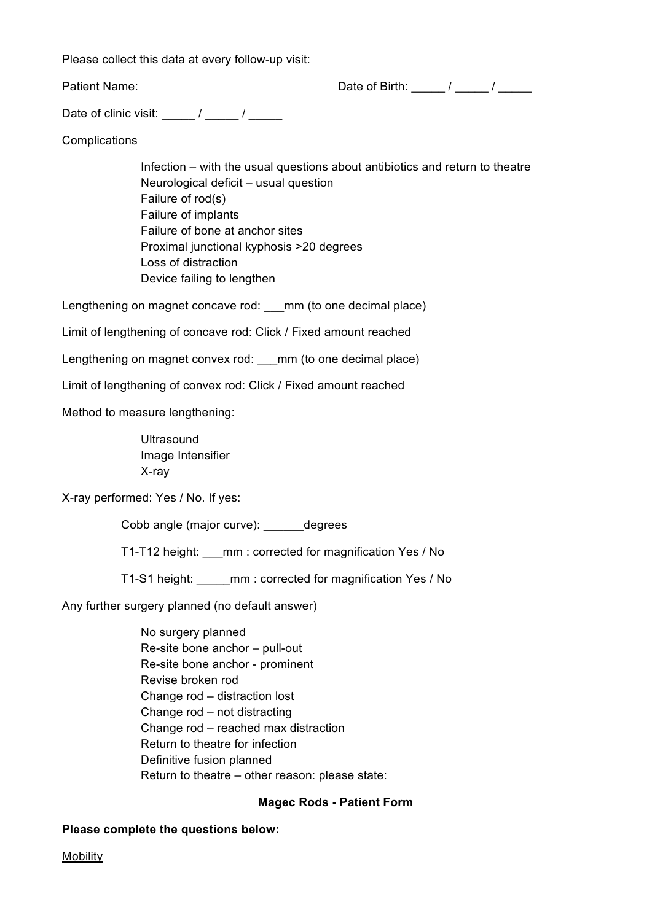Please collect this data at every follow-up visit:

Patient Name: The Contract of Birth: The Contract of Birth: The Contract of Birth: The Contract of Birth: The Contract of Birth: The Contract of Birth: The Contract of Birth: The Contract of Birth: The Contract of Birth: T

Date of clinic visit:  $\frac{1}{2}$  / \_\_\_\_\_ / \_\_\_\_\_\_

**Complications** 

 Infection – with the usual questions about antibiotics and return to theatre Neurological deficit – usual question Failure of rod(s) Failure of implants Failure of bone at anchor sites Proximal junctional kyphosis >20 degrees Loss of distraction Device failing to lengthen

Lengthening on magnet concave rod: \_\_\_ mm (to one decimal place)

Limit of lengthening of concave rod: Click / Fixed amount reached

Lengthening on magnet convex rod: \_\_\_mm (to one decimal place)

Limit of lengthening of convex rod: Click / Fixed amount reached

Method to measure lengthening:

**Ultrasound**  Image Intensifier X-ray

X-ray performed: Yes / No. If yes:

Cobb angle (major curve): \_\_\_\_\_\_degrees

T1-T12 height: mm : corrected for magnification Yes / No

T1-S1 height: \_\_\_\_\_mm : corrected for magnification Yes / No

Any further surgery planned (no default answer)

 No surgery planned Re-site bone anchor – pull-out Re-site bone anchor - prominent Revise broken rod Change rod – distraction lost Change rod – not distracting Change rod – reached max distraction Return to theatre for infection Definitive fusion planned Return to theatre – other reason: please state:

# **Magec Rods - Patient Form**

# **Please complete the questions below:**

**Mobility**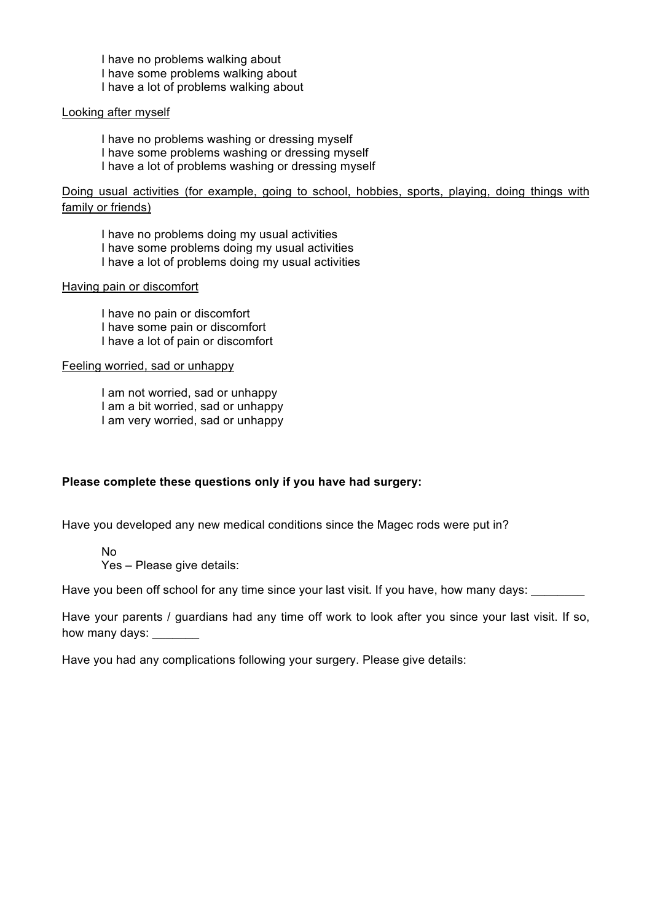I have no problems walking about I have some problems walking about I have a lot of problems walking about

## Looking after myself

 I have no problems washing or dressing myself I have some problems washing or dressing myself I have a lot of problems washing or dressing myself

Doing usual activities (for example, going to school, hobbies, sports, playing, doing things with family or friends)

 I have no problems doing my usual activities I have some problems doing my usual activities I have a lot of problems doing my usual activities

## Having pain or discomfort

 I have no pain or discomfort I have some pain or discomfort I have a lot of pain or discomfort

## Feeling worried, sad or unhappy

 I am not worried, sad or unhappy I am a bit worried, sad or unhappy I am very worried, sad or unhappy

# **Please complete these questions only if you have had surgery:**

Have you developed any new medical conditions since the Magec rods were put in?

No

Yes – Please give details:

Have you been off school for any time since your last visit. If you have, how many days:

Have your parents / guardians had any time off work to look after you since your last visit. If so, how many days: \_\_\_\_\_\_\_

Have you had any complications following your surgery. Please give details: